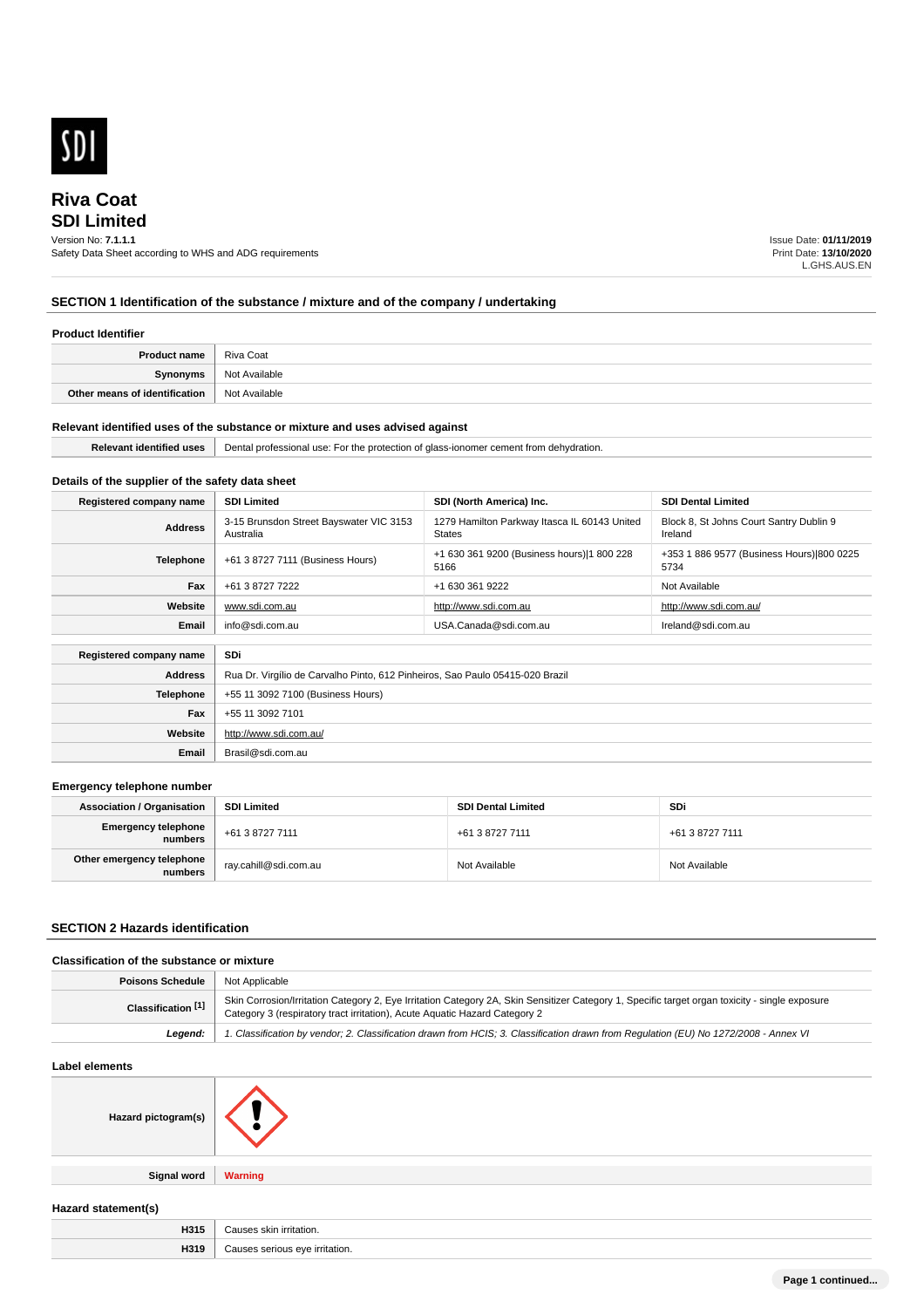

# **SDI Limited Riva Coat**

# Version No: **7.1.1.1**

Safety Data Sheet according to WHS and ADG requirements

Issue Date: **01/11/2019** Print Date: **13/10/2020** L.GHS.AUS.EN

# **SECTION 1 Identification of the substance / mixture and of the company / undertaking**

# **Product Identifier**

| <b>Product name</b>           | Riva Coat     |
|-------------------------------|---------------|
| Synonyms                      | Not Available |
| Other means of identification | Not Available |

#### **Relevant identified uses of the substance or mixture and uses advised against**

|  | Re<br>лтіс<br>- USA. | Jont.<br>protection<br><b>TDE</b><br>CH.<br>ш<br>т١۴<br>o<br>55101 121<br>મ ત્યાર<br><u>JEHA </u> |
|--|----------------------|---------------------------------------------------------------------------------------------------|
|--|----------------------|---------------------------------------------------------------------------------------------------|

## **Details of the supplier of the safety data sheet**

| Registered company name | <b>SDI Limited</b>                                                                                                                                                          | SDI (North America) Inc.                                                                                | <b>SDI Dental Limited</b> |  |  |
|-------------------------|-----------------------------------------------------------------------------------------------------------------------------------------------------------------------------|---------------------------------------------------------------------------------------------------------|---------------------------|--|--|
| <b>Address</b>          | 3-15 Brunsdon Street Bayswater VIC 3153<br>1279 Hamilton Parkway Itasca IL 60143 United<br>Block 8, St Johns Court Santry Dublin 9<br><b>States</b><br>Ireland<br>Australia |                                                                                                         |                           |  |  |
| <b>Telephone</b>        | +61 3 8727 7111 (Business Hours)                                                                                                                                            | +1 630 361 9200 (Business hours) 1 800 228<br>+353 1 886 9577 (Business Hours) 800 0225<br>5166<br>5734 |                           |  |  |
| Fax                     | +61 3 8727 7222<br>+1 630 361 9222<br>Not Available                                                                                                                         |                                                                                                         |                           |  |  |
| Website                 | http://www.sdi.com.au<br>http://www.sdi.com.au/<br>www.sdi.com.au                                                                                                           |                                                                                                         |                           |  |  |
| Email                   | info@sdi.com.au<br>USA.Canada@sdi.com.au<br>Ireland@sdi.com.au                                                                                                              |                                                                                                         |                           |  |  |
|                         |                                                                                                                                                                             |                                                                                                         |                           |  |  |
| Registered company name | SDi                                                                                                                                                                         |                                                                                                         |                           |  |  |
| <b>Address</b>          | Rua Dr. Virgílio de Carvalho Pinto, 612 Pinheiros, Sao Paulo 05415-020 Brazil                                                                                               |                                                                                                         |                           |  |  |
| <b>Telephone</b>        | +55 11 3092 7100 (Business Hours)                                                                                                                                           |                                                                                                         |                           |  |  |
| Fax                     | +55 11 3092 7101                                                                                                                                                            |                                                                                                         |                           |  |  |
| Website                 | http://www.sdi.com.au/                                                                                                                                                      |                                                                                                         |                           |  |  |
| Email                   | Brasil@sdi.com.au                                                                                                                                                           |                                                                                                         |                           |  |  |

#### **Emergency telephone number**

| <b>Association / Organisation</b>    | <b>SDI Limited</b>      | <b>SDI Dental Limited</b> | SDi             |
|--------------------------------------|-------------------------|---------------------------|-----------------|
| Emergency telephone<br>numbers       | +61 3 8727 7111         | +61 3 8727 7111           | +61 3 8727 7111 |
| Other emergency telephone<br>numbers | ` ray.cahill@sdi.com.au | Not Available             | Not Available   |

## **SECTION 2 Hazards identification**

## **Classification of the substance or mixture**

| Poisons Schedule   | <sup>1</sup> Not Applicable                                                                                                                                                                                                  |
|--------------------|------------------------------------------------------------------------------------------------------------------------------------------------------------------------------------------------------------------------------|
| Classification [1] | Skin Corrosion/Irritation Category 2, Eye Irritation Category 2A, Skin Sensitizer Category 1, Specific target organ toxicity - single exposure<br>Category 3 (respiratory tract irritation), Acute Aquatic Hazard Category 2 |
| Leaend:            | 1. Classification by vendor; 2. Classification drawn from HCIS; 3. Classification drawn from Regulation (EU) No 1272/2008 - Annex VI                                                                                         |

### **Label elements**

| Hazard pictogram(s) |                |
|---------------------|----------------|
| <b>Signal word</b>  | <b>Warning</b> |
| Hazard statement(s) |                |

| H315 | "<br>™ irritation.   |
|------|----------------------|
| H319 | rritation.<br>$\sim$ |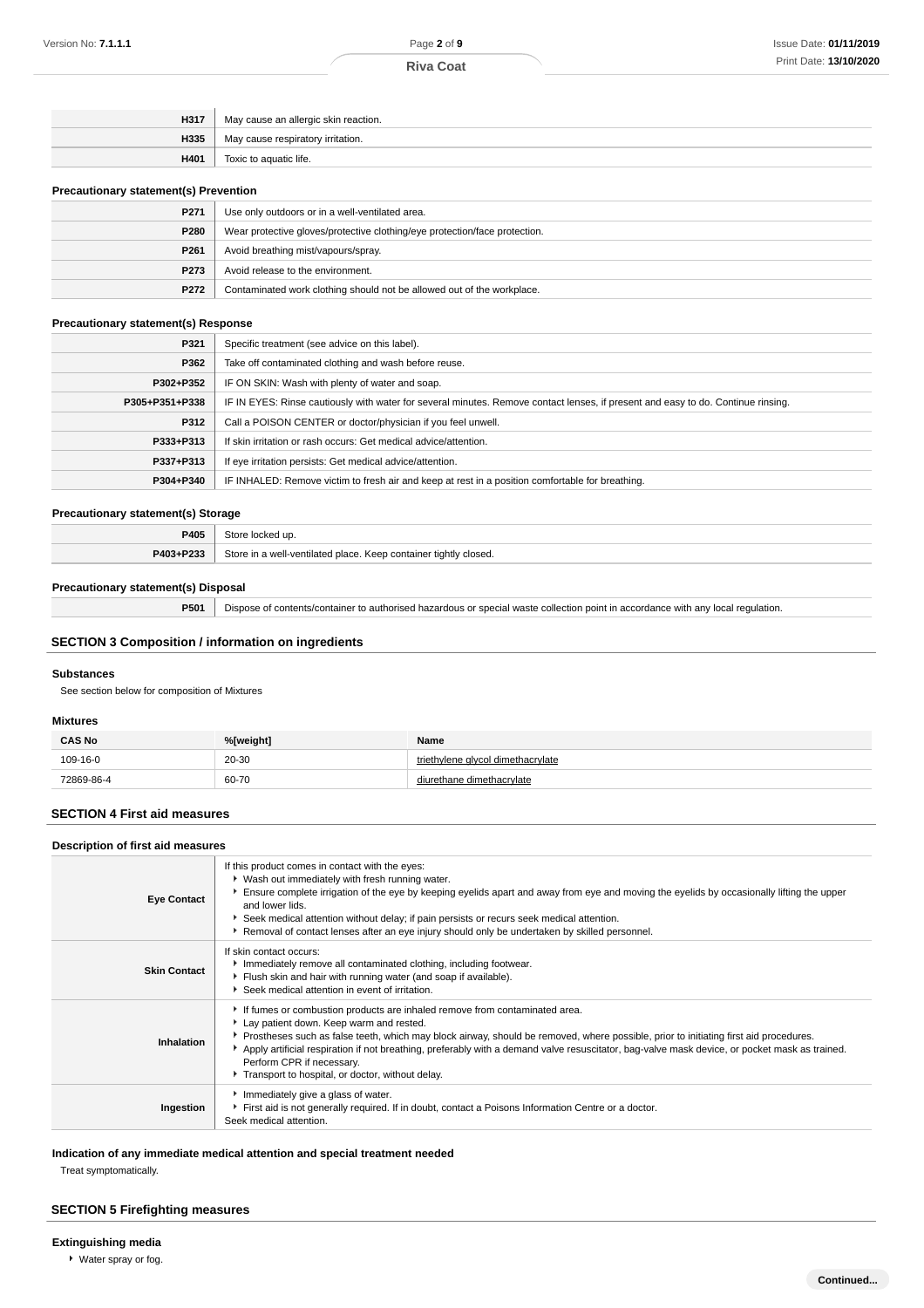| H317 | May cause an allergic skin reaction. |
|------|--------------------------------------|
| H335 | May cause respiratory irritation.    |
| H401 | Toxic to aquatic life.               |

#### **Precautionary statement(s) Prevention**

| $\cdots$ |                                                                            |  |
|----------|----------------------------------------------------------------------------|--|
| P271     | Use only outdoors or in a well-ventilated area.                            |  |
| P280     | Wear protective gloves/protective clothing/eye protection/face protection. |  |
| P261     | Avoid breathing mist/vapours/spray.                                        |  |
| P273     | Avoid release to the environment.                                          |  |
| P272     | Contaminated work clothing should not be allowed out of the workplace.     |  |

### **Precautionary statement(s) Response**

| P321           | Specific treatment (see advice on this label).                                                                                   |
|----------------|----------------------------------------------------------------------------------------------------------------------------------|
| P362           | Take off contaminated clothing and wash before reuse.                                                                            |
| P302+P352      | IF ON SKIN: Wash with plenty of water and soap.                                                                                  |
| P305+P351+P338 | IF IN EYES: Rinse cautiously with water for several minutes. Remove contact lenses, if present and easy to do. Continue rinsing. |
| P312           | Call a POISON CENTER or doctor/physician if you feel unwell.                                                                     |
| P333+P313      | If skin irritation or rash occurs: Get medical advice/attention.                                                                 |
| P337+P313      | If eye irritation persists: Get medical advice/attention.                                                                        |
| P304+P340      | IF INHALED: Remove victim to fresh air and keep at rest in a position comfortable for breathing.                                 |
|                |                                                                                                                                  |

#### **Precautionary statement(s) Storage**

| _____     |                                                                  |  |
|-----------|------------------------------------------------------------------|--|
| P405      | Store locked up                                                  |  |
| P403+P233 | Store in a well-ventilated place. Keep container tightly closed. |  |

### **Precautionary statement(s) Disposal**

**P501** Dispose of contents/container to authorised hazardous or special waste collection point in accordance with any local regulation.

# **SECTION 3 Composition / information on ingredients**

#### **Substances**

See section below for composition of Mixtures

#### **Mixtures**

| <b>CAS No</b> | %[weight]  | Name                        |
|---------------|------------|-----------------------------|
| 109-16-0      | 20-30<br>. | vlene alvcol dimethacrvlate |
| 72869-86-4    | 60-70<br>. | : dimethacrvlate            |

## **SECTION 4 First aid measures**

| Description of first aid measures |                                                                                                                                                                                                                                                                                                                                                                                                                                                                                                   |
|-----------------------------------|---------------------------------------------------------------------------------------------------------------------------------------------------------------------------------------------------------------------------------------------------------------------------------------------------------------------------------------------------------------------------------------------------------------------------------------------------------------------------------------------------|
| <b>Eye Contact</b>                | If this product comes in contact with the eyes:<br>Vash out immediately with fresh running water.<br>Ensure complete irrigation of the eye by keeping eyelids apart and away from eye and moving the eyelids by occasionally lifting the upper<br>and lower lids.<br>Seek medical attention without delay; if pain persists or recurs seek medical attention.<br>Removal of contact lenses after an eye injury should only be undertaken by skilled personnel.                                    |
| <b>Skin Contact</b>               | If skin contact occurs:<br>Immediately remove all contaminated clothing, including footwear.<br>Flush skin and hair with running water (and soap if available).<br>Seek medical attention in event of irritation.                                                                                                                                                                                                                                                                                 |
| Inhalation                        | If fumes or combustion products are inhaled remove from contaminated area.<br>Lay patient down. Keep warm and rested.<br>▶ Prostheses such as false teeth, which may block airway, should be removed, where possible, prior to initiating first aid procedures.<br>Apply artificial respiration if not breathing, preferably with a demand valve resuscitator, bag-valve mask device, or pocket mask as trained.<br>Perform CPR if necessary.<br>Transport to hospital, or doctor, without delay. |
| Ingestion                         | Immediately give a glass of water.<br>First aid is not generally required. If in doubt, contact a Poisons Information Centre or a doctor.<br>Seek medical attention.                                                                                                                                                                                                                                                                                                                              |

**Indication of any immediate medical attention and special treatment needed**

Treat symptomatically.

## **SECTION 5 Firefighting measures**

### **Extinguishing media**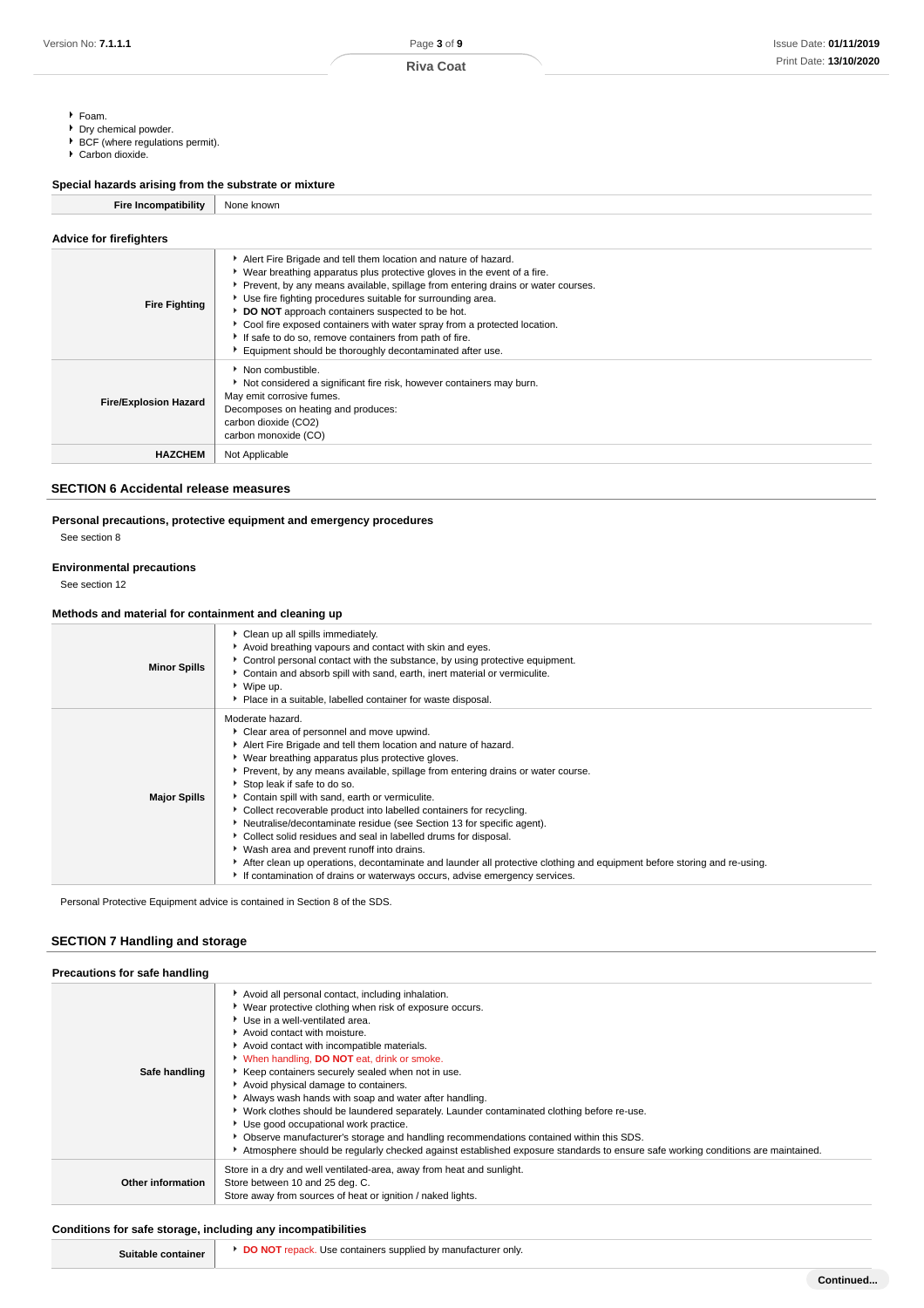- Foam.
- Dry chemical powder.
- ▶ BCF (where regulations permit).
- Carbon dioxide.

## **Special hazards arising from the substrate or mixture**

**Fire Incompatibility** None known

| <b>Advice for firefighters</b> |                                                                                                                                                                                                                                                                                                                                                                                                                                                                                                                                                        |
|--------------------------------|--------------------------------------------------------------------------------------------------------------------------------------------------------------------------------------------------------------------------------------------------------------------------------------------------------------------------------------------------------------------------------------------------------------------------------------------------------------------------------------------------------------------------------------------------------|
| <b>Fire Fighting</b>           | Alert Fire Brigade and tell them location and nature of hazard.<br>► Wear breathing apparatus plus protective gloves in the event of a fire.<br>Prevent, by any means available, spillage from entering drains or water courses.<br>Use fire fighting procedures suitable for surrounding area.<br>DO NOT approach containers suspected to be hot.<br>▶ Cool fire exposed containers with water spray from a protected location.<br>If safe to do so, remove containers from path of fire.<br>Equipment should be thoroughly decontaminated after use. |
| <b>Fire/Explosion Hazard</b>   | • Non combustible.<br>Not considered a significant fire risk, however containers may burn.<br>May emit corrosive fumes.<br>Decomposes on heating and produces:<br>carbon dioxide (CO2)<br>carbon monoxide (CO)                                                                                                                                                                                                                                                                                                                                         |
| <b>HAZCHEM</b>                 | Not Applicable                                                                                                                                                                                                                                                                                                                                                                                                                                                                                                                                         |

## **SECTION 6 Accidental release measures**

**Personal precautions, protective equipment and emergency procedures**

See section 8

#### **Environmental precautions**

See section 12

### **Methods and material for containment and cleaning up**

|                     | Clean up all spills immediately.                                                                                                                                                                                                                                                                                                                                                                                                                                                                                                                                                                                                                                                                                                                                                                                                       |
|---------------------|----------------------------------------------------------------------------------------------------------------------------------------------------------------------------------------------------------------------------------------------------------------------------------------------------------------------------------------------------------------------------------------------------------------------------------------------------------------------------------------------------------------------------------------------------------------------------------------------------------------------------------------------------------------------------------------------------------------------------------------------------------------------------------------------------------------------------------------|
| <b>Minor Spills</b> | Avoid breathing vapours and contact with skin and eyes.<br>• Control personal contact with the substance, by using protective equipment.<br>• Contain and absorb spill with sand, earth, inert material or vermiculite.<br>$\cdot$ Wipe up.<br>• Place in a suitable, labelled container for waste disposal.                                                                                                                                                                                                                                                                                                                                                                                                                                                                                                                           |
| <b>Major Spills</b> | Moderate hazard.<br>Clear area of personnel and move upwind.<br>Alert Fire Brigade and tell them location and nature of hazard.<br>• Wear breathing apparatus plus protective gloves.<br>Prevent, by any means available, spillage from entering drains or water course.<br>Stop leak if safe to do so.<br>Contain spill with sand, earth or vermiculite.<br>• Collect recoverable product into labelled containers for recycling.<br>Neutralise/decontaminate residue (see Section 13 for specific agent).<br>Collect solid residues and seal in labelled drums for disposal.<br>▶ Wash area and prevent runoff into drains.<br>After clean up operations, decontaminate and launder all protective clothing and equipment before storing and re-using.<br>If contamination of drains or waterways occurs, advise emergency services. |

Personal Protective Equipment advice is contained in Section 8 of the SDS.

## **SECTION 7 Handling and storage**

| Precautions for safe handling |                                                                                                                                                                                                                                                                                                                                                                                                                                                                                                                                                                                                                                                                                                                                                                                                          |
|-------------------------------|----------------------------------------------------------------------------------------------------------------------------------------------------------------------------------------------------------------------------------------------------------------------------------------------------------------------------------------------------------------------------------------------------------------------------------------------------------------------------------------------------------------------------------------------------------------------------------------------------------------------------------------------------------------------------------------------------------------------------------------------------------------------------------------------------------|
| Safe handling                 | Avoid all personal contact, including inhalation.<br>• Wear protective clothing when risk of exposure occurs.<br>Use in a well-ventilated area.<br>Avoid contact with moisture.<br>Avoid contact with incompatible materials.<br>V When handling, DO NOT eat, drink or smoke.<br>Keep containers securely sealed when not in use.<br>Avoid physical damage to containers.<br>Always wash hands with soap and water after handling.<br>► Work clothes should be laundered separately. Launder contaminated clothing before re-use.<br>Use good occupational work practice.<br>• Observe manufacturer's storage and handling recommendations contained within this SDS.<br>Atmosphere should be regularly checked against established exposure standards to ensure safe working conditions are maintained. |
| <b>Other information</b>      | Store in a dry and well ventilated-area, away from heat and sunlight.<br>Store between 10 and 25 deg. C.<br>Store away from sources of heat or ignition / naked lights.                                                                                                                                                                                                                                                                                                                                                                                                                                                                                                                                                                                                                                  |

### **Conditions for safe storage, including any incompatibilities**

| turer<br>* only.<br>יז מנוחי<br>eunnilla <i>r</i> i<br>man<br>nv |  |
|------------------------------------------------------------------|--|
|                                                                  |  |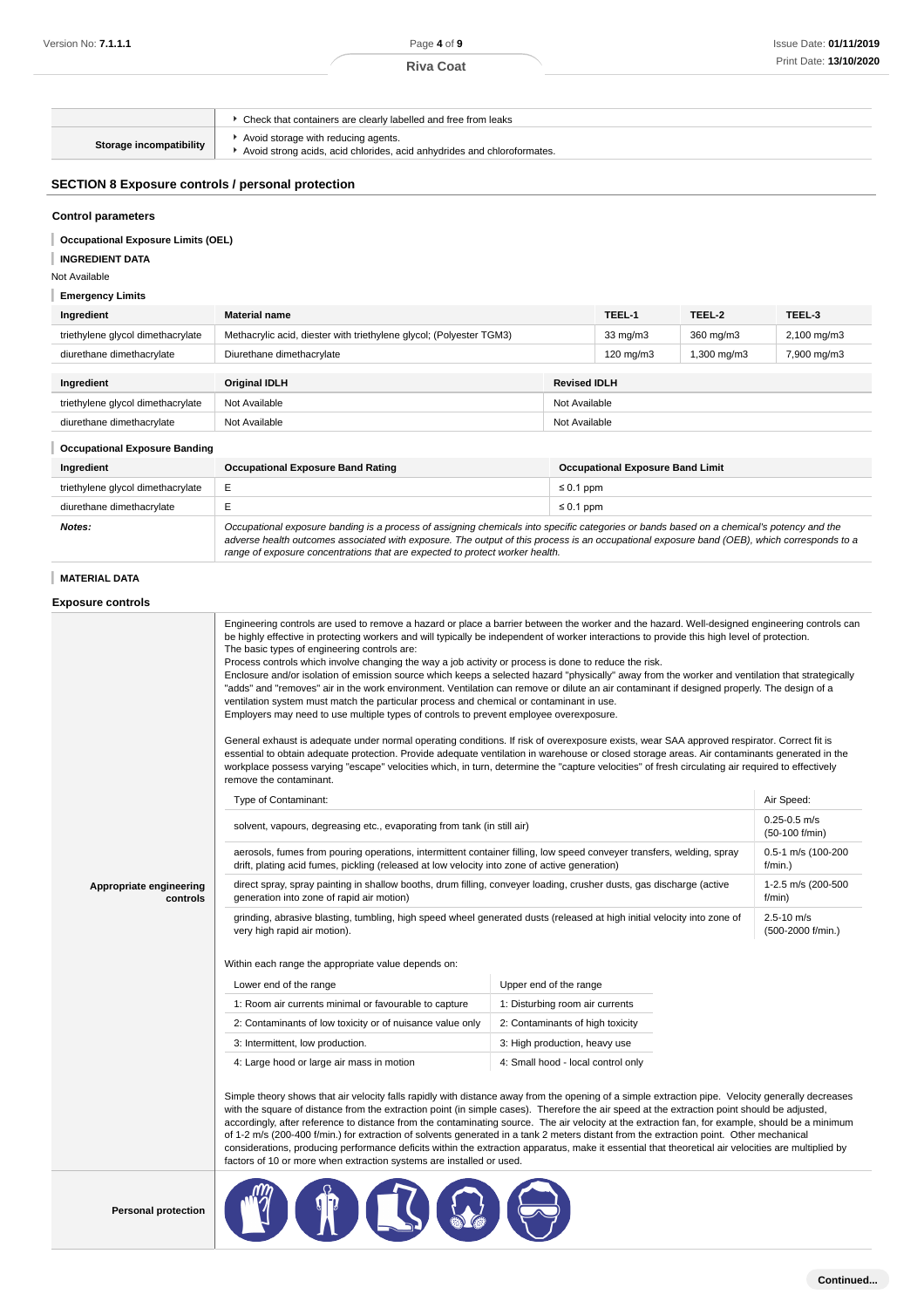|                                                          | Check that containers are clearly labelled and free from leaks                                                 |  |  |
|----------------------------------------------------------|----------------------------------------------------------------------------------------------------------------|--|--|
| Storage incompatibility                                  | Avoid storage with reducing agents.<br>Avoid strong acids, acid chlorides, acid anhydrides and chloroformates. |  |  |
| <b>SECTION 8 Exposure controls / personal protection</b> |                                                                                                                |  |  |
| <b>Control parameters</b>                                |                                                                                                                |  |  |

### **Occupational Exposure Limits (OEL)**

## **Emergency Limits**

| Ingredient                        | <b>Material name</b>                                                |                     | TEEL-1             | TEEL-2      | TEEL-3                 |
|-----------------------------------|---------------------------------------------------------------------|---------------------|--------------------|-------------|------------------------|
| triethylene glycol dimethacrylate | Methacrylic acid, diester with triethylene glycol; (Polyester TGM3) |                     | $33 \text{ mg/m}$  | 360 mg/m3   | $2,100 \text{ mg/m}$ 3 |
| diurethane dimethacrylate         | Diurethane dimethacrylate                                           |                     | $120 \text{ mg/m}$ | 1,300 mg/m3 | 7,900 mg/m3            |
|                                   |                                                                     |                     |                    |             |                        |
| Ingredient                        | <b>Original IDLH</b>                                                | <b>Revised IDLH</b> |                    |             |                        |
| triethylene glycol dimethacrylate | Not Available<br>Not Available                                      |                     |                    |             |                        |
| diurethane dimethacrylate         | Not Available<br>Not Available                                      |                     |                    |             |                        |

### **Occupational Exposure Banding**

| Ingredient                        | <b>Occupational Exposure Band Rating</b>                                                                                                                                                                                                                                                 | <b>Occupational Exposure Band Limit</b> |  |
|-----------------------------------|------------------------------------------------------------------------------------------------------------------------------------------------------------------------------------------------------------------------------------------------------------------------------------------|-----------------------------------------|--|
| triethylene glycol dimethacrylate |                                                                                                                                                                                                                                                                                          | $\leq 0.1$ ppm                          |  |
| diurethane dimethacrylate         |                                                                                                                                                                                                                                                                                          | $\leq 0.1$ ppm                          |  |
| Notes:                            | Occupational exposure banding is a process of assigning chemicals into specific categories or bands based on a chemical's potency and the<br>adverse health outcomes associated with exposure. The output of this process is an occupational exposure band (OEB), which corresponds to a |                                         |  |

### **Exposure controls**

| Version No: <b>7.1.1.1</b>                               | Page 4 of 9                                                                                                                                                                                                                                                                                                                                                                                                                                                                                                                                                                                                                                                                                                                                                                                                                                                                                                                                                                                                                                                                    |                        |                                         |                              | <b>Issue Date: 01/11/2</b>         |
|----------------------------------------------------------|--------------------------------------------------------------------------------------------------------------------------------------------------------------------------------------------------------------------------------------------------------------------------------------------------------------------------------------------------------------------------------------------------------------------------------------------------------------------------------------------------------------------------------------------------------------------------------------------------------------------------------------------------------------------------------------------------------------------------------------------------------------------------------------------------------------------------------------------------------------------------------------------------------------------------------------------------------------------------------------------------------------------------------------------------------------------------------|------------------------|-----------------------------------------|------------------------------|------------------------------------|
|                                                          | <b>Riva Coat</b>                                                                                                                                                                                                                                                                                                                                                                                                                                                                                                                                                                                                                                                                                                                                                                                                                                                                                                                                                                                                                                                               |                        |                                         |                              | Print Date: 13/10/2                |
|                                                          |                                                                                                                                                                                                                                                                                                                                                                                                                                                                                                                                                                                                                                                                                                                                                                                                                                                                                                                                                                                                                                                                                |                        |                                         |                              |                                    |
|                                                          | • Check that containers are clearly labelled and free from leaks                                                                                                                                                                                                                                                                                                                                                                                                                                                                                                                                                                                                                                                                                                                                                                                                                                                                                                                                                                                                               |                        |                                         |                              |                                    |
| Storage incompatibility                                  | Avoid storage with reducing agents.<br>Avoid strong acids, acid chlorides, acid anhydrides and chloroformates.                                                                                                                                                                                                                                                                                                                                                                                                                                                                                                                                                                                                                                                                                                                                                                                                                                                                                                                                                                 |                        |                                         |                              |                                    |
| <b>SECTION 8 Exposure controls / personal protection</b> |                                                                                                                                                                                                                                                                                                                                                                                                                                                                                                                                                                                                                                                                                                                                                                                                                                                                                                                                                                                                                                                                                |                        |                                         |                              |                                    |
|                                                          |                                                                                                                                                                                                                                                                                                                                                                                                                                                                                                                                                                                                                                                                                                                                                                                                                                                                                                                                                                                                                                                                                |                        |                                         |                              |                                    |
| <b>Control parameters</b>                                |                                                                                                                                                                                                                                                                                                                                                                                                                                                                                                                                                                                                                                                                                                                                                                                                                                                                                                                                                                                                                                                                                |                        |                                         |                              |                                    |
| <b>Occupational Exposure Limits (OEL)</b>                |                                                                                                                                                                                                                                                                                                                                                                                                                                                                                                                                                                                                                                                                                                                                                                                                                                                                                                                                                                                                                                                                                |                        |                                         |                              |                                    |
| <b>INGREDIENT DATA</b><br>Not Available                  |                                                                                                                                                                                                                                                                                                                                                                                                                                                                                                                                                                                                                                                                                                                                                                                                                                                                                                                                                                                                                                                                                |                        |                                         |                              |                                    |
| <b>Emergency Limits</b>                                  |                                                                                                                                                                                                                                                                                                                                                                                                                                                                                                                                                                                                                                                                                                                                                                                                                                                                                                                                                                                                                                                                                |                        |                                         |                              |                                    |
| Ingredient                                               | <b>Material name</b>                                                                                                                                                                                                                                                                                                                                                                                                                                                                                                                                                                                                                                                                                                                                                                                                                                                                                                                                                                                                                                                           |                        | TEEL-1                                  | TEEL-2                       | TEEL-3                             |
| triethylene glycol dimethacrylate                        | Methacrylic acid, diester with triethylene glycol; (Polyester TGM3)                                                                                                                                                                                                                                                                                                                                                                                                                                                                                                                                                                                                                                                                                                                                                                                                                                                                                                                                                                                                            |                        | $33 \text{ mg/m}$                       | 360 mg/m3                    | 2,100 mg/m3                        |
| diurethane dimethacrylate                                | Diurethane dimethacrylate                                                                                                                                                                                                                                                                                                                                                                                                                                                                                                                                                                                                                                                                                                                                                                                                                                                                                                                                                                                                                                                      |                        | 120 mg/m $3$                            | 1,300 mg/m3                  | 7,900 mg/m3                        |
| Ingredient                                               | <b>Original IDLH</b>                                                                                                                                                                                                                                                                                                                                                                                                                                                                                                                                                                                                                                                                                                                                                                                                                                                                                                                                                                                                                                                           |                        | <b>Revised IDLH</b>                     |                              |                                    |
| triethylene glycol dimethacrylate                        | Not Available                                                                                                                                                                                                                                                                                                                                                                                                                                                                                                                                                                                                                                                                                                                                                                                                                                                                                                                                                                                                                                                                  |                        | Not Available                           |                              |                                    |
| diurethane dimethacrylate                                | Not Available                                                                                                                                                                                                                                                                                                                                                                                                                                                                                                                                                                                                                                                                                                                                                                                                                                                                                                                                                                                                                                                                  |                        | Not Available                           |                              |                                    |
| <b>Occupational Exposure Banding</b>                     |                                                                                                                                                                                                                                                                                                                                                                                                                                                                                                                                                                                                                                                                                                                                                                                                                                                                                                                                                                                                                                                                                |                        |                                         |                              |                                    |
| Ingredient                                               | <b>Occupational Exposure Band Rating</b>                                                                                                                                                                                                                                                                                                                                                                                                                                                                                                                                                                                                                                                                                                                                                                                                                                                                                                                                                                                                                                       |                        | <b>Occupational Exposure Band Limit</b> |                              |                                    |
| triethylene glycol dimethacrylate                        | Е                                                                                                                                                                                                                                                                                                                                                                                                                                                                                                                                                                                                                                                                                                                                                                                                                                                                                                                                                                                                                                                                              |                        | $\leq 0.1$ ppm                          |                              |                                    |
| diurethane dimethacrylate                                | Е                                                                                                                                                                                                                                                                                                                                                                                                                                                                                                                                                                                                                                                                                                                                                                                                                                                                                                                                                                                                                                                                              |                        | $\leq 0.1$ ppm                          |                              |                                    |
| Notes:                                                   | Occupational exposure banding is a process of assigning chemicals into specific categories or bands based on a chemical's potency and the<br>adverse health outcomes associated with exposure. The output of this process is an occupational exposure band (OEB), which corresponds to a<br>range of exposure concentrations that are expected to protect worker health.                                                                                                                                                                                                                                                                                                                                                                                                                                                                                                                                                                                                                                                                                                       |                        |                                         |                              |                                    |
| <b>MATERIAL DATA</b>                                     |                                                                                                                                                                                                                                                                                                                                                                                                                                                                                                                                                                                                                                                                                                                                                                                                                                                                                                                                                                                                                                                                                |                        |                                         |                              |                                    |
| <b>Exposure controls</b>                                 |                                                                                                                                                                                                                                                                                                                                                                                                                                                                                                                                                                                                                                                                                                                                                                                                                                                                                                                                                                                                                                                                                |                        |                                         |                              |                                    |
|                                                          | Process controls which involve changing the way a job activity or process is done to reduce the risk.<br>Enclosure and/or isolation of emission source which keeps a selected hazard "physically" away from the worker and ventilation that strategically<br>"adds" and "removes" air in the work environment. Ventilation can remove or dilute an air contaminant if designed properly. The design of a<br>ventilation system must match the particular process and chemical or contaminant in use.<br>Employers may need to use multiple types of controls to prevent employee overexposure.<br>General exhaust is adequate under normal operating conditions. If risk of overexposure exists, wear SAA approved respirator. Correct fit is<br>essential to obtain adequate protection. Provide adequate ventilation in warehouse or closed storage areas. Air contaminants generated in the<br>workplace possess varying "escape" velocities which, in turn, determine the "capture velocities" of fresh circulating air required to effectively<br>remove the contaminant. |                        |                                         |                              |                                    |
|                                                          | Type of Contaminant:                                                                                                                                                                                                                                                                                                                                                                                                                                                                                                                                                                                                                                                                                                                                                                                                                                                                                                                                                                                                                                                           |                        |                                         |                              | Air Speed:                         |
|                                                          | solvent, vapours, degreasing etc., evaporating from tank (in still air)                                                                                                                                                                                                                                                                                                                                                                                                                                                                                                                                                                                                                                                                                                                                                                                                                                                                                                                                                                                                        |                        |                                         |                              | $0.25 - 0.5$ m/s<br>(50-100 f/min) |
|                                                          | aerosols, fumes from pouring operations, intermittent container filling, low speed conveyer transfers, welding, spray<br>drift, plating acid fumes, pickling (released at low velocity into zone of active generation)                                                                                                                                                                                                                                                                                                                                                                                                                                                                                                                                                                                                                                                                                                                                                                                                                                                         |                        |                                         |                              | 0.5-1 m/s (100-200<br>f/min.)      |
| Appropriate engineering<br>controls                      | direct spray, spray painting in shallow booths, drum filling, conveyer loading, crusher dusts, gas discharge (active<br>generation into zone of rapid air motion)                                                                                                                                                                                                                                                                                                                                                                                                                                                                                                                                                                                                                                                                                                                                                                                                                                                                                                              |                        |                                         | 1-2.5 m/s (200-500<br>f/min) |                                    |
|                                                          | grinding, abrasive blasting, tumbling, high speed wheel generated dusts (released at high initial velocity into zone of<br>2.5-10 m/s<br>very high rapid air motion).                                                                                                                                                                                                                                                                                                                                                                                                                                                                                                                                                                                                                                                                                                                                                                                                                                                                                                          |                        |                                         |                              | (500-2000 f/min.)                  |
|                                                          | Within each range the appropriate value depends on:                                                                                                                                                                                                                                                                                                                                                                                                                                                                                                                                                                                                                                                                                                                                                                                                                                                                                                                                                                                                                            |                        |                                         |                              |                                    |
|                                                          | Lower end of the range                                                                                                                                                                                                                                                                                                                                                                                                                                                                                                                                                                                                                                                                                                                                                                                                                                                                                                                                                                                                                                                         | Upper end of the range |                                         |                              |                                    |
|                                                          | 1: Room air currents minimal or favourable to capture                                                                                                                                                                                                                                                                                                                                                                                                                                                                                                                                                                                                                                                                                                                                                                                                                                                                                                                                                                                                                          |                        | 1: Disturbing room air currents         |                              |                                    |
|                                                          | 2: Contaminants of low toxicity or of nuisance value only<br>2: Contaminants of high toxicity                                                                                                                                                                                                                                                                                                                                                                                                                                                                                                                                                                                                                                                                                                                                                                                                                                                                                                                                                                                  |                        |                                         |                              |                                    |
|                                                          | 3: Intermittent, low production.<br>3: High production, heavy use                                                                                                                                                                                                                                                                                                                                                                                                                                                                                                                                                                                                                                                                                                                                                                                                                                                                                                                                                                                                              |                        |                                         |                              |                                    |
|                                                          | 4: Large hood or large air mass in motion<br>4: Small hood - local control only                                                                                                                                                                                                                                                                                                                                                                                                                                                                                                                                                                                                                                                                                                                                                                                                                                                                                                                                                                                                |                        |                                         |                              |                                    |
|                                                          | Simple theory shows that air velocity falls rapidly with distance away from the opening of a simple extraction pipe. Velocity generally decreases<br>with the square of distance from the extraction point (in simple cases). Therefore the air speed at the extraction point should be adjusted,<br>accordingly, after reference to distance from the contaminating source. The air velocity at the extraction fan, for example, should be a minimum<br>of 1-2 m/s (200-400 f/min.) for extraction of solvents generated in a tank 2 meters distant from the extraction point. Other mechanical<br>considerations, producing performance deficits within the extraction apparatus, make it essential that theoretical air velocities are multiplied by<br>factors of 10 or more when extraction systems are installed or used.                                                                                                                                                                                                                                                |                        |                                         |                              |                                    |
| <b>Personal protection</b>                               | $n \cap \Omega$                                                                                                                                                                                                                                                                                                                                                                                                                                                                                                                                                                                                                                                                                                                                                                                                                                                                                                                                                                                                                                                                |                        |                                         |                              |                                    |

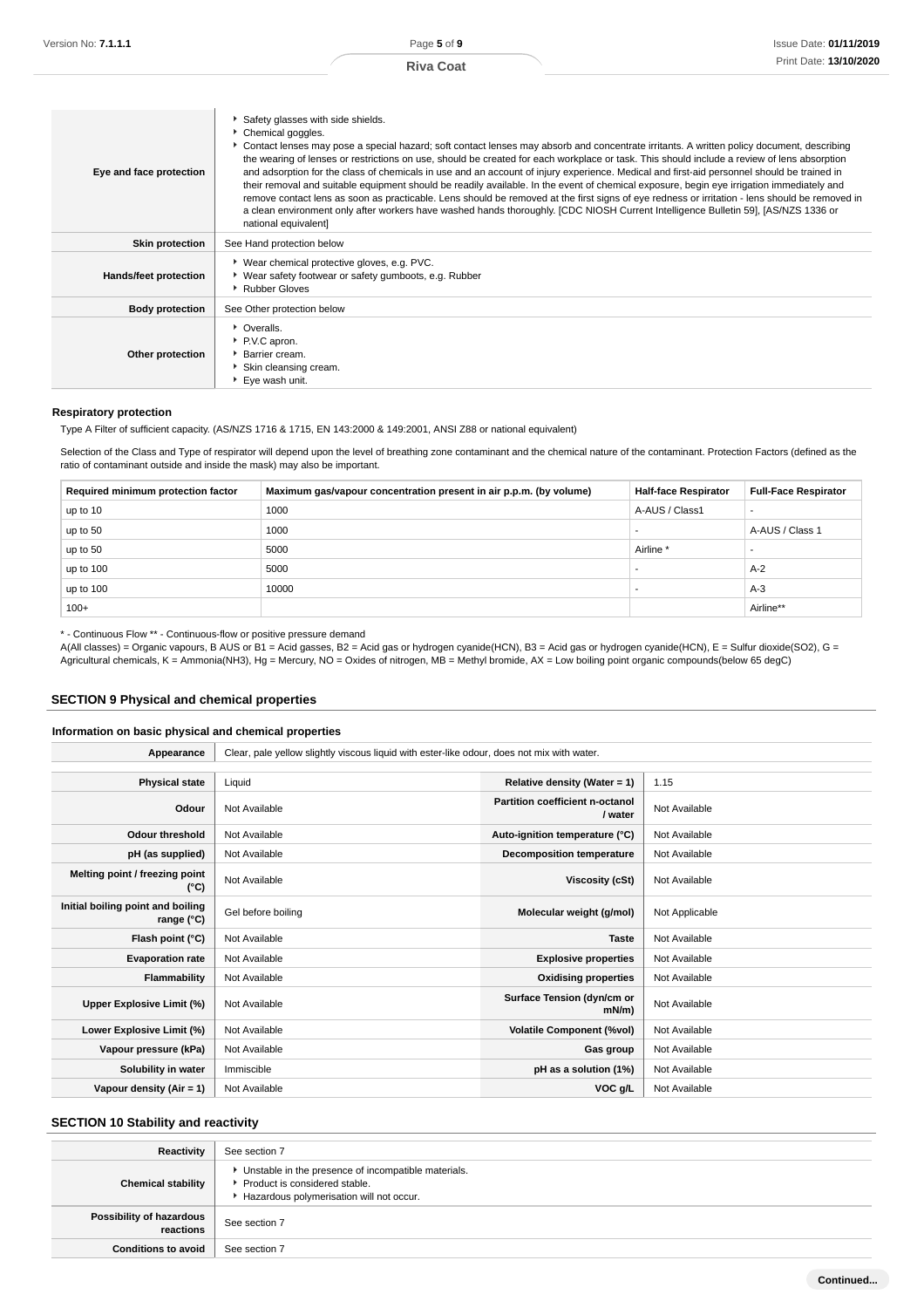| Eye and face protection | Safety glasses with side shields.<br>Chemical goggles.<br>Contact lenses may pose a special hazard; soft contact lenses may absorb and concentrate irritants. A written policy document, describing<br>the wearing of lenses or restrictions on use, should be created for each workplace or task. This should include a review of lens absorption<br>and adsorption for the class of chemicals in use and an account of injury experience. Medical and first-aid personnel should be trained in<br>their removal and suitable equipment should be readily available. In the event of chemical exposure, begin eye irrigation immediately and<br>remove contact lens as soon as practicable. Lens should be removed at the first signs of eye redness or irritation - lens should be removed in<br>a clean environment only after workers have washed hands thoroughly. [CDC NIOSH Current Intelligence Bulletin 59], [AS/NZS 1336 or<br>national equivalent] |
|-------------------------|---------------------------------------------------------------------------------------------------------------------------------------------------------------------------------------------------------------------------------------------------------------------------------------------------------------------------------------------------------------------------------------------------------------------------------------------------------------------------------------------------------------------------------------------------------------------------------------------------------------------------------------------------------------------------------------------------------------------------------------------------------------------------------------------------------------------------------------------------------------------------------------------------------------------------------------------------------------|
| <b>Skin protection</b>  | See Hand protection below                                                                                                                                                                                                                                                                                                                                                                                                                                                                                                                                                                                                                                                                                                                                                                                                                                                                                                                                     |
| Hands/feet protection   | ▶ Wear chemical protective gloves, e.g. PVC.<br>▶ Wear safety footwear or safety gumboots, e.g. Rubber<br>Rubber Gloves                                                                                                                                                                                                                                                                                                                                                                                                                                                                                                                                                                                                                                                                                                                                                                                                                                       |
| <b>Body protection</b>  | See Other protection below                                                                                                                                                                                                                                                                                                                                                                                                                                                                                                                                                                                                                                                                                                                                                                                                                                                                                                                                    |
| Other protection        | • Overalls.<br>P.V.C apron.<br>▶ Barrier cream.<br>Skin cleansing cream.<br>Eye wash unit.                                                                                                                                                                                                                                                                                                                                                                                                                                                                                                                                                                                                                                                                                                                                                                                                                                                                    |

#### **Respiratory protection**

Type A Filter of sufficient capacity. (AS/NZS 1716 & 1715, EN 143:2000 & 149:2001, ANSI Z88 or national equivalent)

Selection of the Class and Type of respirator will depend upon the level of breathing zone contaminant and the chemical nature of the contaminant. Protection Factors (defined as the ratio of contaminant outside and inside the mask) may also be important.

| Required minimum protection factor | Maximum gas/vapour concentration present in air p.p.m. (by volume) | <b>Half-face Respirator</b> | <b>Full-Face Respirator</b> |
|------------------------------------|--------------------------------------------------------------------|-----------------------------|-----------------------------|
| up to 10                           | 1000                                                               | A-AUS / Class1              |                             |
| up to 50                           | 1000                                                               |                             | A-AUS / Class 1             |
| up to 50                           | 5000                                                               | Airline                     | -                           |
| up to 100                          | 5000                                                               |                             | $A-2$                       |
| up to $100$                        | 10000                                                              |                             | $A-3$                       |
| $100+$                             |                                                                    |                             | Airline**                   |

\* - Continuous Flow \*\* - Continuous-flow or positive pressure demand

A(All classes) = Organic vapours, B AUS or B1 = Acid gasses, B2 = Acid gas or hydrogen cyanide(HCN), B3 = Acid gas or hydrogen cyanide(HCN), E = Sulfur dioxide(SO2), G = Agricultural chemicals, K = Ammonia(NH3), Hg = Mercury, NO = Oxides of nitrogen, MB = Methyl bromide, AX = Low boiling point organic compounds(below 65 degC)

### **SECTION 9 Physical and chemical properties**

#### **Information on basic physical and chemical properties**

| Appearance                                      | Clear, pale yellow slightly viscous liquid with ester-like odour, does not mix with water. |                                            |                |
|-------------------------------------------------|--------------------------------------------------------------------------------------------|--------------------------------------------|----------------|
|                                                 |                                                                                            |                                            |                |
| <b>Physical state</b>                           | Liquid                                                                                     | Relative density (Water = 1)               | 1.15           |
| Odour                                           | Not Available                                                                              | Partition coefficient n-octanol<br>/ water | Not Available  |
| <b>Odour threshold</b>                          | Not Available                                                                              | Auto-ignition temperature (°C)             | Not Available  |
| pH (as supplied)                                | Not Available                                                                              | <b>Decomposition temperature</b>           | Not Available  |
| Melting point / freezing point<br>(°C)          | Not Available                                                                              | Viscosity (cSt)                            | Not Available  |
| Initial boiling point and boiling<br>range (°C) | Gel before boiling                                                                         | Molecular weight (g/mol)                   | Not Applicable |
| Flash point (°C)                                | Not Available                                                                              | <b>Taste</b>                               | Not Available  |
| <b>Evaporation rate</b>                         | Not Available                                                                              | <b>Explosive properties</b>                | Not Available  |
| Flammability                                    | Not Available                                                                              | <b>Oxidising properties</b>                | Not Available  |
| Upper Explosive Limit (%)                       | Not Available                                                                              | Surface Tension (dyn/cm or<br>mN/m)        | Not Available  |
| Lower Explosive Limit (%)                       | Not Available                                                                              | <b>Volatile Component (%vol)</b>           | Not Available  |
| Vapour pressure (kPa)                           | Not Available                                                                              | Gas group                                  | Not Available  |
| Solubility in water                             | Immiscible                                                                                 | pH as a solution (1%)                      | Not Available  |
| Vapour density (Air = 1)                        | Not Available                                                                              | VOC g/L                                    | Not Available  |

## **SECTION 10 Stability and reactivity**

| Reactivity                            | See section 7                                                                                                                      |  |
|---------------------------------------|------------------------------------------------------------------------------------------------------------------------------------|--|
| <b>Chemical stability</b>             | Unstable in the presence of incompatible materials.<br>▶ Product is considered stable.<br>Hazardous polymerisation will not occur. |  |
| Possibility of hazardous<br>reactions | See section 7                                                                                                                      |  |
| <b>Conditions to avoid</b>            | See section 7                                                                                                                      |  |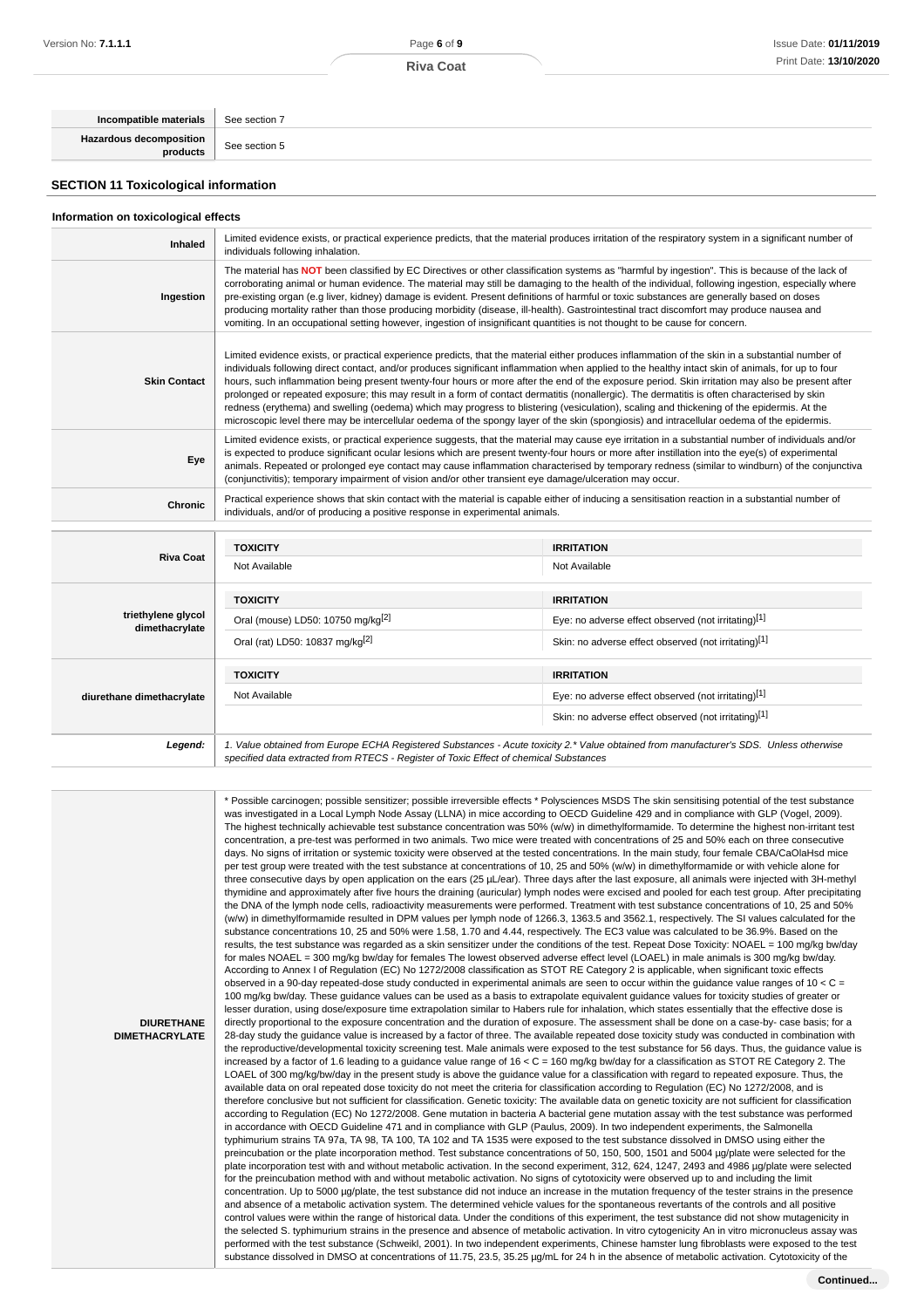| Incompatible materials                      | See section 7 |  |
|---------------------------------------------|---------------|--|
| Hazardous decomposition<br>  products       | See section 5 |  |
| <b>SECTION 11 Toxicological information</b> |               |  |

#### **Information on toxicological effects**

**DIURETHANE DIMETHACRYLATE**

| Inhaled                              | Limited evidence exists, or practical experience predicts, that the material produces irritation of the respiratory system in a significant number of<br>individuals following inhalation.                                                                                                                                                                                                                                                                                                                                                                                                                                                                                                                                                                                                                                                                                                            |                                                                                                                                        |  |
|--------------------------------------|-------------------------------------------------------------------------------------------------------------------------------------------------------------------------------------------------------------------------------------------------------------------------------------------------------------------------------------------------------------------------------------------------------------------------------------------------------------------------------------------------------------------------------------------------------------------------------------------------------------------------------------------------------------------------------------------------------------------------------------------------------------------------------------------------------------------------------------------------------------------------------------------------------|----------------------------------------------------------------------------------------------------------------------------------------|--|
| Ingestion                            | The material has NOT been classified by EC Directives or other classification systems as "harmful by ingestion". This is because of the lack of<br>corroborating animal or human evidence. The material may still be damaging to the health of the individual, following ingestion, especially where<br>pre-existing organ (e.g liver, kidney) damage is evident. Present definitions of harmful or toxic substances are generally based on doses<br>producing mortality rather than those producing morbidity (disease, ill-health). Gastrointestinal tract discomfort may produce nausea and<br>vomiting. In an occupational setting however, ingestion of insignificant quantities is not thought to be cause for concern.                                                                                                                                                                         |                                                                                                                                        |  |
| <b>Skin Contact</b>                  | Limited evidence exists, or practical experience predicts, that the material either produces inflammation of the skin in a substantial number of<br>individuals following direct contact, and/or produces significant inflammation when applied to the healthy intact skin of animals, for up to four<br>hours, such inflammation being present twenty-four hours or more after the end of the exposure period. Skin irritation may also be present after<br>prolonged or repeated exposure; this may result in a form of contact dermatitis (nonallergic). The dermatitis is often characterised by skin<br>redness (erythema) and swelling (oedema) which may progress to blistering (vesiculation), scaling and thickening of the epidermis. At the<br>microscopic level there may be intercellular oedema of the spongy layer of the skin (spongiosis) and intracellular oedema of the epidermis. |                                                                                                                                        |  |
| Eye                                  | Limited evidence exists, or practical experience suggests, that the material may cause eye irritation in a substantial number of individuals and/or<br>is expected to produce significant ocular lesions which are present twenty-four hours or more after instillation into the eye(s) of experimental<br>animals. Repeated or prolonged eye contact may cause inflammation characterised by temporary redness (similar to windburn) of the conjunctiva<br>(conjunctivitis); temporary impairment of vision and/or other transient eye damage/ulceration may occur.                                                                                                                                                                                                                                                                                                                                  |                                                                                                                                        |  |
| <b>Chronic</b>                       | Practical experience shows that skin contact with the material is capable either of inducing a sensitisation reaction in a substantial number of<br>individuals, and/or of producing a positive response in experimental animals.                                                                                                                                                                                                                                                                                                                                                                                                                                                                                                                                                                                                                                                                     |                                                                                                                                        |  |
|                                      | <b>TOXICITY</b>                                                                                                                                                                                                                                                                                                                                                                                                                                                                                                                                                                                                                                                                                                                                                                                                                                                                                       | <b>IRRITATION</b>                                                                                                                      |  |
| <b>Riva Coat</b>                     | Not Available                                                                                                                                                                                                                                                                                                                                                                                                                                                                                                                                                                                                                                                                                                                                                                                                                                                                                         | Not Available                                                                                                                          |  |
|                                      | <b>TOXICITY</b>                                                                                                                                                                                                                                                                                                                                                                                                                                                                                                                                                                                                                                                                                                                                                                                                                                                                                       | <b>IRRITATION</b>                                                                                                                      |  |
| triethylene glycol<br>dimethacrylate | Oral (mouse) LD50: 10750 mg/kg <sup>[2]</sup>                                                                                                                                                                                                                                                                                                                                                                                                                                                                                                                                                                                                                                                                                                                                                                                                                                                         | Eye: no adverse effect observed (not irritating)[1]                                                                                    |  |
|                                      | Oral (rat) LD50: 10837 mg/kg <sup>[2]</sup>                                                                                                                                                                                                                                                                                                                                                                                                                                                                                                                                                                                                                                                                                                                                                                                                                                                           | Skin: no adverse effect observed (not irritating)[1]                                                                                   |  |
|                                      | <b>TOXICITY</b>                                                                                                                                                                                                                                                                                                                                                                                                                                                                                                                                                                                                                                                                                                                                                                                                                                                                                       | <b>IRRITATION</b>                                                                                                                      |  |
| diurethane dimethacrylate            | Not Available                                                                                                                                                                                                                                                                                                                                                                                                                                                                                                                                                                                                                                                                                                                                                                                                                                                                                         | Eye: no adverse effect observed (not irritating)[1]                                                                                    |  |
|                                      |                                                                                                                                                                                                                                                                                                                                                                                                                                                                                                                                                                                                                                                                                                                                                                                                                                                                                                       | Skin: no adverse effect observed (not irritating)[1]                                                                                   |  |
| Legend:                              | specified data extracted from RTECS - Register of Toxic Effect of chemical Substances                                                                                                                                                                                                                                                                                                                                                                                                                                                                                                                                                                                                                                                                                                                                                                                                                 | 1. Value obtained from Europe ECHA Registered Substances - Acute toxicity 2.* Value obtained from manufacturer's SDS. Unless otherwise |  |

\* Possible carcinogen; possible sensitizer; possible irreversible effects \* Polysciences MSDS The skin sensitising potential of the test substance was investigated in a Local Lymph Node Assay (LLNA) in mice according to OECD Guideline 429 and in compliance with GLP (Vogel, 2009). The highest technically achievable test substance concentration was 50% (w/w) in dimethylformamide. To determine the highest non-irritant test concentration, a pre-test was performed in two animals. Two mice were treated with concentrations of 25 and 50% each on three consecutive days. No signs of irritation or systemic toxicity were observed at the tested concentrations. In the main study, four female CBA/CaOlaHsd mice per test group were treated with the test substance at concentrations of 10, 25 and 50% (w/w) in dimethylformamide or with vehicle alone for three consecutive days by open application on the ears (25 µL/ear). Three days after the last exposure, all animals were injected with 3H-methyl thymidine and approximately after five hours the draining (auricular) lymph nodes were excised and pooled for each test group. After precipitating the DNA of the lymph node cells, radioactivity measurements were performed. Treatment with test substance concentrations of 10, 25 and 50% (w/w) in dimethylformamide resulted in DPM values per lymph node of 1266.3, 1363.5 and 3562.1, respectively. The SI values calculated for the substance concentrations 10, 25 and 50% were 1.58, 1.70 and 4.44, respectively. The EC3 value was calculated to be 36.9%. Based on the results, the test substance was regarded as a skin sensitizer under the conditions of the test. Repeat Dose Toxicity: NOAEL = 100 mg/kg bw/day for males NOAEL = 300 mg/kg bw/day for females The lowest observed adverse effect level (LOAEL) in male animals is 300 mg/kg bw/day. According to Annex I of Regulation (EC) No 1272/2008 classification as STOT RE Category 2 is applicable, when significant toxic effects observed in a 90-day repeated-dose study conducted in experimental animals are seen to occur within the guidance value ranges of 10 < C = 100 mg/kg bw/day. These guidance values can be used as a basis to extrapolate equivalent guidance values for toxicity studies of greater or lesser duration, using dose/exposure time extrapolation similar to Habers rule for inhalation, which states essentially that the effective dose is directly proportional to the exposure concentration and the duration of exposure. The assessment shall be done on a case-by- case basis; for a 28-day study the guidance value is increased by a factor of three. The available repeated dose toxicity study was conducted in combination with the reproductive/developmental toxicity screening test. Male animals were exposed to the test substance for 56 days. Thus, the guidance value is increased by a factor of 1.6 leading to a guidance value range of 16 < C = 160 mg/kg bw/day for a classification as STOT RE Category 2. The LOAEL of 300 mg/kg/bw/day in the present study is above the guidance value for a classification with regard to repeated exposure. Thus, the available data on oral repeated dose toxicity do not meet the criteria for classification according to Regulation (EC) No 1272/2008, and is therefore conclusive but not sufficient for classification. Genetic toxicity: The available data on genetic toxicity are not sufficient for classification according to Regulation (EC) No 1272/2008. Gene mutation in bacteria A bacterial gene mutation assay with the test substance was performed in accordance with OECD Guideline 471 and in compliance with GLP (Paulus, 2009). In two independent experiments, the Salmonella typhimurium strains TA 97a, TA 98, TA 100, TA 102 and TA 1535 were exposed to the test substance dissolved in DMSO using either the preincubation or the plate incorporation method. Test substance concentrations of 50, 150, 500, 1501 and 5004 µg/plate were selected for the plate incorporation test with and without metabolic activation. In the second experiment, 312, 624, 1247, 2493 and 4986 µg/plate were selected for the preincubation method with and without metabolic activation. No signs of cytotoxicity were observed up to and including the limit concentration. Up to 5000 uq/plate, the test substance did not induce an increase in the mutation frequency of the tester strains in the presence and absence of a metabolic activation system. The determined vehicle values for the spontaneous revertants of the controls and all positive control values were within the range of historical data. Under the conditions of this experiment, the test substance did not show mutagenicity in the selected S. typhimurium strains in the presence and absence of metabolic activation. In vitro cytogenicity An in vitro micronucleus assay was performed with the test substance (Schweikl, 2001). In two independent experiments, Chinese hamster lung fibroblasts were exposed to the test substance dissolved in DMSO at concentrations of 11.75, 23.5, 35.25 µg/mL for 24 h in the absence of metabolic activation. Cytotoxicity of the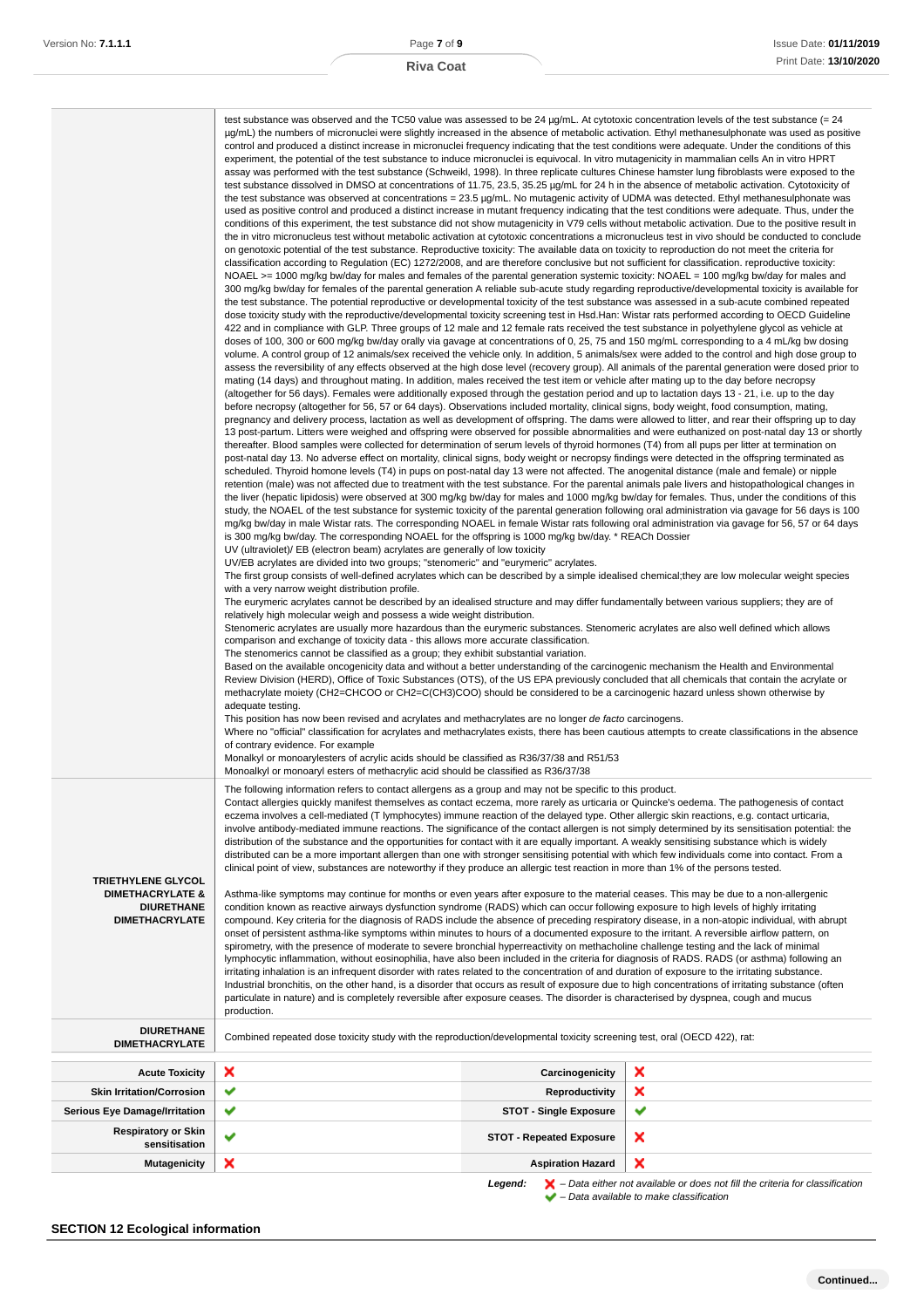|                                                                                                        | test substance was observed and the TC50 value was assessed to be 24 $\mu$ g/mL. At cytotoxic concentration levels of the test substance (= 24<br>$\mu$ g/mL) the numbers of micronuclei were slightly increased in the absence of metabolic activation. Ethyl methanesulphonate was used as positive<br>control and produced a distinct increase in micronuclei frequency indicating that the test conditions were adequate. Under the conditions of this<br>experiment, the potential of the test substance to induce micronuclei is equivocal. In vitro mutagenicity in mammalian cells An in vitro HPRT<br>assay was performed with the test substance (Schweikl, 1998). In three replicate cultures Chinese hamster lung fibroblasts were exposed to the<br>test substance dissolved in DMSO at concentrations of 11.75, 23.5, 35.25 µg/mL for 24 h in the absence of metabolic activation. Cytotoxicity of<br>the test substance was observed at concentrations = 23.5 µg/mL. No mutagenic activity of UDMA was detected. Ethyl methanesulphonate was<br>used as positive control and produced a distinct increase in mutant frequency indicating that the test conditions were adequate. Thus, under the<br>conditions of this experiment, the test substance did not show mutagenicity in V79 cells without metabolic activation. Due to the positive result in<br>the in vitro micronucleus test without metabolic activation at cytotoxic concentrations a micronucleus test in vivo should be conducted to conclude<br>on genotoxic potential of the test substance. Reproductive toxicity: The available data on toxicity to reproduction do not meet the criteria for<br>classification according to Regulation (EC) 1272/2008, and are therefore conclusive but not sufficient for classification. reproductive toxicity:<br>NOAEL >= 1000 mg/kg bw/day for males and females of the parental generation systemic toxicity: NOAEL = 100 mg/kg bw/day for males and<br>300 mg/kg bw/day for females of the parental generation A reliable sub-acute study regarding reproductive/developmental toxicity is available for<br>the test substance. The potential reproductive or developmental toxicity of the test substance was assessed in a sub-acute combined repeated<br>dose toxicity study with the reproductive/developmental toxicity screening test in Hsd.Han: Wistar rats performed according to OECD Guideline<br>422 and in compliance with GLP. Three groups of 12 male and 12 female rats received the test substance in polyethylene glycol as vehicle at<br>doses of 100, 300 or 600 mg/kg bw/day orally via gavage at concentrations of 0, 25, 75 and 150 mg/mL corresponding to a 4 mL/kg bw dosing<br>volume. A control group of 12 animals/sex received the vehicle only. In addition, 5 animals/sex were added to the control and high dose group to<br>assess the reversibility of any effects observed at the high dose level (recovery group). All animals of the parental generation were dosed prior to<br>mating (14 days) and throughout mating. In addition, males received the test item or vehicle after mating up to the day before necropsy<br>(altogether for 56 days). Females were additionally exposed through the gestation period and up to lactation days 13 - 21, i.e. up to the day<br>before necropsy (altogether for 56, 57 or 64 days). Observations included mortality, clinical signs, body weight, food consumption, mating,<br>pregnancy and delivery process, lactation as well as development of offspring. The dams were allowed to litter, and rear their offspring up to day<br>13 post-partum. Litters were weighed and offspring were observed for possible abnormalities and were euthanized on post-natal day 13 or shortly<br>thereafter. Blood samples were collected for determination of serum levels of thyroid hormones (T4) from all pups per litter at termination on<br>post-natal day 13. No adverse effect on mortality, clinical signs, body weight or necropsy findings were detected in the offspring terminated as<br>scheduled. Thyroid homone levels (T4) in pups on post-natal day 13 were not affected. The anogenital distance (male and female) or nipple<br>retention (male) was not affected due to treatment with the test substance. For the parental animals pale livers and histopathological changes in<br>the liver (hepatic lipidosis) were observed at 300 mg/kg bw/day for males and 1000 mg/kg bw/day for females. Thus, under the conditions of this<br>study, the NOAEL of the test substance for systemic toxicity of the parental generation following oral administration via gavage for 56 days is 100<br>mg/kg bw/day in male Wistar rats. The corresponding NOAEL in female Wistar rats following oral administration via gavage for 56, 57 or 64 days<br>is 300 mg/kg bw/day. The corresponding NOAEL for the offspring is 1000 mg/kg bw/day. * REACh Dossier<br>UV (ultraviolet)/ EB (electron beam) acrylates are generally of low toxicity<br>UV/EB acrylates are divided into two groups; "stenomeric" and "eurymeric" acrylates.<br>The first group consists of well-defined acrylates which can be described by a simple idealised chemical; they are low molecular weight species<br>with a very narrow weight distribution profile.<br>The eurymeric acrylates cannot be described by an idealised structure and may differ fundamentally between various suppliers; they are of<br>relatively high molecular weigh and possess a wide weight distribution.<br>Stenomeric acrylates are usually more hazardous than the eurymeric substances. Stenomeric acrylates are also well defined which allows<br>comparison and exchange of toxicity data - this allows more accurate classification.<br>The stenomerics cannot be classified as a group; they exhibit substantial variation.<br>Based on the available oncogenicity data and without a better understanding of the carcinogenic mechanism the Health and Environmental<br>Review Division (HERD), Office of Toxic Substances (OTS), of the US EPA previously concluded that all chemicals that contain the acrylate or<br>methacrylate moiety (CH2=CHCOO or CH2=C(CH3)COO) should be considered to be a carcinogenic hazard unless shown otherwise by<br>adequate testing.<br>This position has now been revised and acrylates and methacrylates are no longer de facto carcinogens.<br>Where no "official" classification for acrylates and methacrylates exists, there has been cautious attempts to create classifications in the absence<br>of contrary evidence. For example<br>Monalkyl or monoarylesters of acrylic acids should be classified as R36/37/38 and R51/53<br>Monoalkyl or monoaryl esters of methacrylic acid should be classified as R36/37/38 |                                 |        |
|--------------------------------------------------------------------------------------------------------|-------------------------------------------------------------------------------------------------------------------------------------------------------------------------------------------------------------------------------------------------------------------------------------------------------------------------------------------------------------------------------------------------------------------------------------------------------------------------------------------------------------------------------------------------------------------------------------------------------------------------------------------------------------------------------------------------------------------------------------------------------------------------------------------------------------------------------------------------------------------------------------------------------------------------------------------------------------------------------------------------------------------------------------------------------------------------------------------------------------------------------------------------------------------------------------------------------------------------------------------------------------------------------------------------------------------------------------------------------------------------------------------------------------------------------------------------------------------------------------------------------------------------------------------------------------------------------------------------------------------------------------------------------------------------------------------------------------------------------------------------------------------------------------------------------------------------------------------------------------------------------------------------------------------------------------------------------------------------------------------------------------------------------------------------------------------------------------------------------------------------------------------------------------------------------------------------------------------------------------------------------------------------------------------------------------------------------------------------------------------------------------------------------------------------------------------------------------------------------------------------------------------------------------------------------------------------------------------------------------------------------------------------------------------------------------------------------------------------------------------------------------------------------------------------------------------------------------------------------------------------------------------------------------------------------------------------------------------------------------------------------------------------------------------------------------------------------------------------------------------------------------------------------------------------------------------------------------------------------------------------------------------------------------------------------------------------------------------------------------------------------------------------------------------------------------------------------------------------------------------------------------------------------------------------------------------------------------------------------------------------------------------------------------------------------------------------------------------------------------------------------------------------------------------------------------------------------------------------------------------------------------------------------------------------------------------------------------------------------------------------------------------------------------------------------------------------------------------------------------------------------------------------------------------------------------------------------------------------------------------------------------------------------------------------------------------------------------------------------------------------------------------------------------------------------------------------------------------------------------------------------------------------------------------------------------------------------------------------------------------------------------------------------------------------------------------------------------------------------------------------------------------------------------------------------------------------------------------------------------------------------------------------------------------------------------------------------------------------------------------------------------------------------------------------------------------------------------------------------------------------------------------------------------------------------------------------------------------------------------------------------------------------------------------------------------------------------------------------------------------------------------------------------------------------------------------------------------------------------------------------------------------------------------------------------------------------------------------------------------------------------------------------------------------------------------------------------------------------------------------------------------------------------------------------------------------------------------------------------------------------------------------------------------------------------------------------------------------------------------------------------------------------------------------------------------------------------------------------------------------------------------------------------------------------------------------------------------------------------------------------------------------------------------------------------------------------------------------------------------------------------------------------------------------------------------------------------------------------------------------------------------------------------------------------------------------------------------------------------------------------------------------------------------------------------------------------------------------------------------------------------------------------------------------------------------------------------------------------------|---------------------------------|--------|
| <b>TRIETHYLENE GLYCOL</b><br><b>DIMETHACRYLATE &amp;</b><br><b>DIURETHANE</b><br><b>DIMETHACRYLATE</b> | The following information refers to contact allergens as a group and may not be specific to this product.<br>Contact allergies quickly manifest themselves as contact eczema, more rarely as urticaria or Quincke's oedema. The pathogenesis of contact<br>eczema involves a cell-mediated (T lymphocytes) immune reaction of the delayed type. Other allergic skin reactions, e.g. contact urticaria,<br>involve antibody-mediated immune reactions. The significance of the contact allergen is not simply determined by its sensitisation potential: the<br>distribution of the substance and the opportunities for contact with it are equally important. A weakly sensitising substance which is widely<br>distributed can be a more important allergen than one with stronger sensitising potential with which few individuals come into contact. From a<br>clinical point of view, substances are noteworthy if they produce an allergic test reaction in more than 1% of the persons tested.<br>Asthma-like symptoms may continue for months or even years after exposure to the material ceases. This may be due to a non-allergenic<br>condition known as reactive airways dysfunction syndrome (RADS) which can occur following exposure to high levels of highly irritating<br>compound. Key criteria for the diagnosis of RADS include the absence of preceding respiratory disease, in a non-atopic individual, with abrupt<br>onset of persistent asthma-like symptoms within minutes to hours of a documented exposure to the irritant. A reversible airflow pattern, on<br>spirometry, with the presence of moderate to severe bronchial hyperreactivity on methacholine challenge testing and the lack of minimal<br>lymphocytic inflammation, without eosinophilia, have also been included in the criteria for diagnosis of RADS. RADS (or asthma) following an<br>irritating inhalation is an infrequent disorder with rates related to the concentration of and duration of exposure to the irritating substance.<br>Industrial bronchitis, on the other hand, is a disorder that occurs as result of exposure due to high concentrations of irritating substance (often<br>particulate in nature) and is completely reversible after exposure ceases. The disorder is characterised by dyspnea, cough and mucus<br>production.                                                                                                                                                                                                                                                                                                                                                                                                                                                                                                                                                                                                                                                                                                                                                                                                                                                                                                                                                                                                                                                                                                                                                                                                                                                                                                                                                                                                                                                                                                                                                                                                                                                                                                                                                                                                                                                                                                                                                                                                                                                                                                                                                                                                                                                                                                                                                                                                                                                                                                                                                                                                                                                                                                                                                                                                                                                                                                                                                                                                                                                                                                                                                                                                                                                                                                                                                                                                                                                                                                                                                                                                                                                                                                                                                                                                                                                                                                                                                                                                                                                                                                                                                                                                                                                                                                                                                                                                                                                                                                 |                                 |        |
| <b>DIURETHANE</b><br><b>DIMETHACRYLATE</b>                                                             | Combined repeated dose toxicity study with the reproduction/developmental toxicity screening test, oral (OECD 422), rat:                                                                                                                                                                                                                                                                                                                                                                                                                                                                                                                                                                                                                                                                                                                                                                                                                                                                                                                                                                                                                                                                                                                                                                                                                                                                                                                                                                                                                                                                                                                                                                                                                                                                                                                                                                                                                                                                                                                                                                                                                                                                                                                                                                                                                                                                                                                                                                                                                                                                                                                                                                                                                                                                                                                                                                                                                                                                                                                                                                                                                                                                                                                                                                                                                                                                                                                                                                                                                                                                                                                                                                                                                                                                                                                                                                                                                                                                                                                                                                                                                                                                                                                                                                                                                                                                                                                                                                                                                                                                                                                                                                                                                                                                                                                                                                                                                                                                                                                                                                                                                                                                                                                                                                                                                                                                                                                                                                                                                                                                                                                                                                                                                                                                                                                                                                                                                                                                                                                                                                                                                                                                                                                                                                                                                                                                                                                                                                                                                                                                                                                                                                                                                                                                                                                              |                                 |        |
|                                                                                                        |                                                                                                                                                                                                                                                                                                                                                                                                                                                                                                                                                                                                                                                                                                                                                                                                                                                                                                                                                                                                                                                                                                                                                                                                                                                                                                                                                                                                                                                                                                                                                                                                                                                                                                                                                                                                                                                                                                                                                                                                                                                                                                                                                                                                                                                                                                                                                                                                                                                                                                                                                                                                                                                                                                                                                                                                                                                                                                                                                                                                                                                                                                                                                                                                                                                                                                                                                                                                                                                                                                                                                                                                                                                                                                                                                                                                                                                                                                                                                                                                                                                                                                                                                                                                                                                                                                                                                                                                                                                                                                                                                                                                                                                                                                                                                                                                                                                                                                                                                                                                                                                                                                                                                                                                                                                                                                                                                                                                                                                                                                                                                                                                                                                                                                                                                                                                                                                                                                                                                                                                                                                                                                                                                                                                                                                                                                                                                                                                                                                                                                                                                                                                                                                                                                                                                                                                                                                       |                                 |        |
| <b>Acute Toxicity</b>                                                                                  | ×<br>✔                                                                                                                                                                                                                                                                                                                                                                                                                                                                                                                                                                                                                                                                                                                                                                                                                                                                                                                                                                                                                                                                                                                                                                                                                                                                                                                                                                                                                                                                                                                                                                                                                                                                                                                                                                                                                                                                                                                                                                                                                                                                                                                                                                                                                                                                                                                                                                                                                                                                                                                                                                                                                                                                                                                                                                                                                                                                                                                                                                                                                                                                                                                                                                                                                                                                                                                                                                                                                                                                                                                                                                                                                                                                                                                                                                                                                                                                                                                                                                                                                                                                                                                                                                                                                                                                                                                                                                                                                                                                                                                                                                                                                                                                                                                                                                                                                                                                                                                                                                                                                                                                                                                                                                                                                                                                                                                                                                                                                                                                                                                                                                                                                                                                                                                                                                                                                                                                                                                                                                                                                                                                                                                                                                                                                                                                                                                                                                                                                                                                                                                                                                                                                                                                                                                                                                                                                                                | Carcinogenicity                 | ×<br>× |
| <b>Skin Irritation/Corrosion</b>                                                                       | ✔                                                                                                                                                                                                                                                                                                                                                                                                                                                                                                                                                                                                                                                                                                                                                                                                                                                                                                                                                                                                                                                                                                                                                                                                                                                                                                                                                                                                                                                                                                                                                                                                                                                                                                                                                                                                                                                                                                                                                                                                                                                                                                                                                                                                                                                                                                                                                                                                                                                                                                                                                                                                                                                                                                                                                                                                                                                                                                                                                                                                                                                                                                                                                                                                                                                                                                                                                                                                                                                                                                                                                                                                                                                                                                                                                                                                                                                                                                                                                                                                                                                                                                                                                                                                                                                                                                                                                                                                                                                                                                                                                                                                                                                                                                                                                                                                                                                                                                                                                                                                                                                                                                                                                                                                                                                                                                                                                                                                                                                                                                                                                                                                                                                                                                                                                                                                                                                                                                                                                                                                                                                                                                                                                                                                                                                                                                                                                                                                                                                                                                                                                                                                                                                                                                                                                                                                                                                     | <b>Reproductivity</b>           | ✔      |
| Serious Eye Damage/Irritation                                                                          |                                                                                                                                                                                                                                                                                                                                                                                                                                                                                                                                                                                                                                                                                                                                                                                                                                                                                                                                                                                                                                                                                                                                                                                                                                                                                                                                                                                                                                                                                                                                                                                                                                                                                                                                                                                                                                                                                                                                                                                                                                                                                                                                                                                                                                                                                                                                                                                                                                                                                                                                                                                                                                                                                                                                                                                                                                                                                                                                                                                                                                                                                                                                                                                                                                                                                                                                                                                                                                                                                                                                                                                                                                                                                                                                                                                                                                                                                                                                                                                                                                                                                                                                                                                                                                                                                                                                                                                                                                                                                                                                                                                                                                                                                                                                                                                                                                                                                                                                                                                                                                                                                                                                                                                                                                                                                                                                                                                                                                                                                                                                                                                                                                                                                                                                                                                                                                                                                                                                                                                                                                                                                                                                                                                                                                                                                                                                                                                                                                                                                                                                                                                                                                                                                                                                                                                                                                                       | <b>STOT - Single Exposure</b>   |        |
| <b>Respiratory or Skin</b><br>sensitisation                                                            | ✔                                                                                                                                                                                                                                                                                                                                                                                                                                                                                                                                                                                                                                                                                                                                                                                                                                                                                                                                                                                                                                                                                                                                                                                                                                                                                                                                                                                                                                                                                                                                                                                                                                                                                                                                                                                                                                                                                                                                                                                                                                                                                                                                                                                                                                                                                                                                                                                                                                                                                                                                                                                                                                                                                                                                                                                                                                                                                                                                                                                                                                                                                                                                                                                                                                                                                                                                                                                                                                                                                                                                                                                                                                                                                                                                                                                                                                                                                                                                                                                                                                                                                                                                                                                                                                                                                                                                                                                                                                                                                                                                                                                                                                                                                                                                                                                                                                                                                                                                                                                                                                                                                                                                                                                                                                                                                                                                                                                                                                                                                                                                                                                                                                                                                                                                                                                                                                                                                                                                                                                                                                                                                                                                                                                                                                                                                                                                                                                                                                                                                                                                                                                                                                                                                                                                                                                                                                                     | <b>STOT - Repeated Exposure</b> | ×      |
| <b>Mutagenicity</b>                                                                                    | ×                                                                                                                                                                                                                                                                                                                                                                                                                                                                                                                                                                                                                                                                                                                                                                                                                                                                                                                                                                                                                                                                                                                                                                                                                                                                                                                                                                                                                                                                                                                                                                                                                                                                                                                                                                                                                                                                                                                                                                                                                                                                                                                                                                                                                                                                                                                                                                                                                                                                                                                                                                                                                                                                                                                                                                                                                                                                                                                                                                                                                                                                                                                                                                                                                                                                                                                                                                                                                                                                                                                                                                                                                                                                                                                                                                                                                                                                                                                                                                                                                                                                                                                                                                                                                                                                                                                                                                                                                                                                                                                                                                                                                                                                                                                                                                                                                                                                                                                                                                                                                                                                                                                                                                                                                                                                                                                                                                                                                                                                                                                                                                                                                                                                                                                                                                                                                                                                                                                                                                                                                                                                                                                                                                                                                                                                                                                                                                                                                                                                                                                                                                                                                                                                                                                                                                                                                                                     | <b>Aspiration Hazard</b>        | ×      |
|                                                                                                        |                                                                                                                                                                                                                                                                                                                                                                                                                                                                                                                                                                                                                                                                                                                                                                                                                                                                                                                                                                                                                                                                                                                                                                                                                                                                                                                                                                                                                                                                                                                                                                                                                                                                                                                                                                                                                                                                                                                                                                                                                                                                                                                                                                                                                                                                                                                                                                                                                                                                                                                                                                                                                                                                                                                                                                                                                                                                                                                                                                                                                                                                                                                                                                                                                                                                                                                                                                                                                                                                                                                                                                                                                                                                                                                                                                                                                                                                                                                                                                                                                                                                                                                                                                                                                                                                                                                                                                                                                                                                                                                                                                                                                                                                                                                                                                                                                                                                                                                                                                                                                                                                                                                                                                                                                                                                                                                                                                                                                                                                                                                                                                                                                                                                                                                                                                                                                                                                                                                                                                                                                                                                                                                                                                                                                                                                                                                                                                                                                                                                                                                                                                                                                                                                                                                                                                                                                                                       |                                 |        |

**Legend:**  $\mathbf{X}$  – Data either not available or does not fill the criteria for classification – Data available to make classification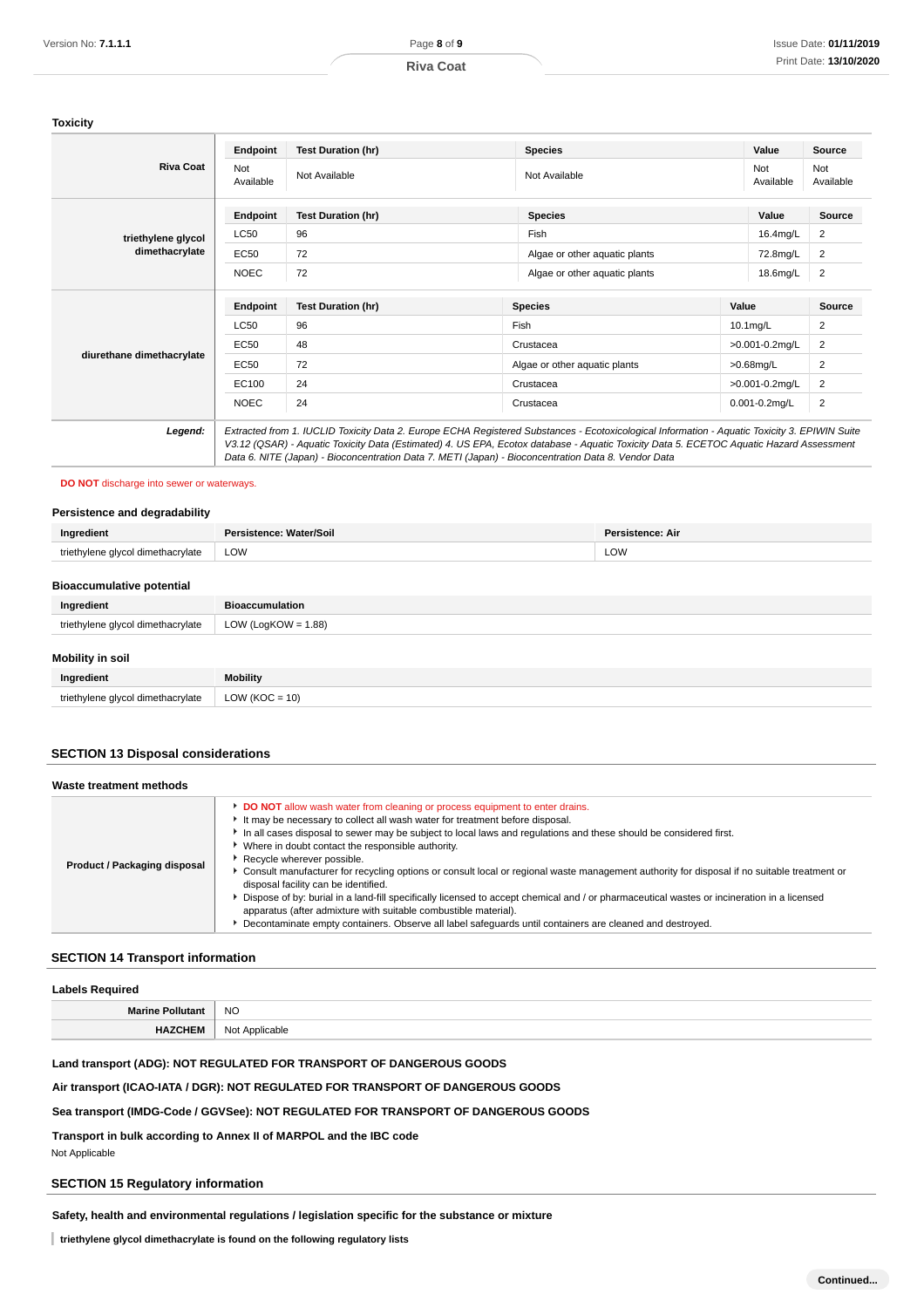### **Toxicity**

| <b>Riva Coat</b>          | Endpoint                                                                                                                                                                                                                                                                                                                                                                                        | <b>Test Duration (hr)</b> | <b>Species</b>                |       | Value              | <b>Source</b>    |
|---------------------------|-------------------------------------------------------------------------------------------------------------------------------------------------------------------------------------------------------------------------------------------------------------------------------------------------------------------------------------------------------------------------------------------------|---------------------------|-------------------------------|-------|--------------------|------------------|
|                           | Not<br>Available                                                                                                                                                                                                                                                                                                                                                                                | Not Available             | Not Available                 |       | Not<br>Available   | Not<br>Available |
|                           | Endpoint                                                                                                                                                                                                                                                                                                                                                                                        | <b>Test Duration (hr)</b> | <b>Species</b>                |       | Value              | <b>Source</b>    |
| triethylene glycol        | <b>LC50</b>                                                                                                                                                                                                                                                                                                                                                                                     | 96                        | Fish                          |       | 16.4mg/L           | 2                |
| dimethacrylate            | <b>EC50</b>                                                                                                                                                                                                                                                                                                                                                                                     | 72                        | Algae or other aquatic plants |       | 72.8mg/L           | $\overline{2}$   |
|                           | <b>NOEC</b>                                                                                                                                                                                                                                                                                                                                                                                     | 72                        | Algae or other aquatic plants |       | 18.6mg/L           | 2                |
|                           | Endpoint                                                                                                                                                                                                                                                                                                                                                                                        | <b>Test Duration (hr)</b> | <b>Species</b>                | Value |                    | Source           |
|                           | <b>LC50</b>                                                                                                                                                                                                                                                                                                                                                                                     | 96                        | Fish                          |       | $10.1$ mg/L        | $\overline{2}$   |
|                           | <b>EC50</b>                                                                                                                                                                                                                                                                                                                                                                                     | 48                        | Crustacea                     |       | >0.001-0.2mg/L     | 2                |
| diurethane dimethacrylate | <b>EC50</b>                                                                                                                                                                                                                                                                                                                                                                                     | 72                        | Algae or other aquatic plants |       | $>0.68$ mg/L       | $\overline{2}$   |
|                           | EC100                                                                                                                                                                                                                                                                                                                                                                                           | 24                        | Crustacea                     |       | >0.001-0.2mg/L     | 2                |
|                           | <b>NOEC</b>                                                                                                                                                                                                                                                                                                                                                                                     | 24                        | Crustacea                     |       | $0.001 - 0.2$ mg/L | $\overline{c}$   |
| Legend:                   | Extracted from 1. IUCLID Toxicity Data 2. Europe ECHA Registered Substances - Ecotoxicological Information - Aquatic Toxicity 3. EPIWIN Suite<br>V3.12 (QSAR) - Aquatic Toxicity Data (Estimated) 4. US EPA, Ecotox database - Aquatic Toxicity Data 5. ECETOC Aquatic Hazard Assessment<br>Data 6. NITE (Japan) - Bioconcentration Data 7. METI (Japan) - Bioconcentration Data 8. Vendor Data |                           |                               |       |                    |                  |

### **DO NOT** discharge into sewer or waterways.

#### **Persistence and degradability**

| Ingredient                        | Persistence: Water/Soil<br><b>Persistence: Air</b> |  |  |  |
|-----------------------------------|----------------------------------------------------|--|--|--|
| triethylene glycol dimethacrylate | LOW<br><b>LOW</b>                                  |  |  |  |
| <b>Bioaccumulative potential</b>  |                                                    |  |  |  |
| Ingredient                        | <b>Bioaccumulation</b>                             |  |  |  |
| triethylene glycol dimethacrylate | LOW (LogKOW = $1.88$ )                             |  |  |  |
| <b>Mobility in soil</b>           |                                                    |  |  |  |
| Ingredient                        | <b>Mobility</b>                                    |  |  |  |
| triethylene glycol dimethacrylate | $LOW (KOC = 10)$                                   |  |  |  |

### **SECTION 13 Disposal considerations**

| Waste treatment methods      |                                                                                                                                                                                                                                                                                                                                                                                                                                                                                                                                                                                                                                                                                                                                                                                                                                                                                           |
|------------------------------|-------------------------------------------------------------------------------------------------------------------------------------------------------------------------------------------------------------------------------------------------------------------------------------------------------------------------------------------------------------------------------------------------------------------------------------------------------------------------------------------------------------------------------------------------------------------------------------------------------------------------------------------------------------------------------------------------------------------------------------------------------------------------------------------------------------------------------------------------------------------------------------------|
| Product / Packaging disposal | DO NOT allow wash water from cleaning or process equipment to enter drains.<br>It may be necessary to collect all wash water for treatment before disposal.<br>In all cases disposal to sewer may be subject to local laws and regulations and these should be considered first.<br>Where in doubt contact the responsible authority.<br>Recycle wherever possible.<br>► Consult manufacturer for recycling options or consult local or regional waste management authority for disposal if no suitable treatment or<br>disposal facility can be identified.<br>Dispose of by: burial in a land-fill specifically licensed to accept chemical and / or pharmaceutical wastes or incineration in a licensed<br>apparatus (after admixture with suitable combustible material).<br>Decontaminate empty containers. Observe all label safequards until containers are cleaned and destroyed. |

## **SECTION 14 Transport information**

| <b>Labels Required</b>  |                |  |  |
|-------------------------|----------------|--|--|
| <b>Marine Pollutant</b> | <b>NO</b>      |  |  |
| <b>HAZCHEM</b>          | Not Applicable |  |  |

## **Land transport (ADG): NOT REGULATED FOR TRANSPORT OF DANGEROUS GOODS**

## **Air transport (ICAO-IATA / DGR): NOT REGULATED FOR TRANSPORT OF DANGEROUS GOODS**

## **Sea transport (IMDG-Code / GGVSee): NOT REGULATED FOR TRANSPORT OF DANGEROUS GOODS**

**Transport in bulk according to Annex II of MARPOL and the IBC code**

Not Applicable

# **SECTION 15 Regulatory information**

## **Safety, health and environmental regulations / legislation specific for the substance or mixture**

**triethylene glycol dimethacrylate is found on the following regulatory lists**